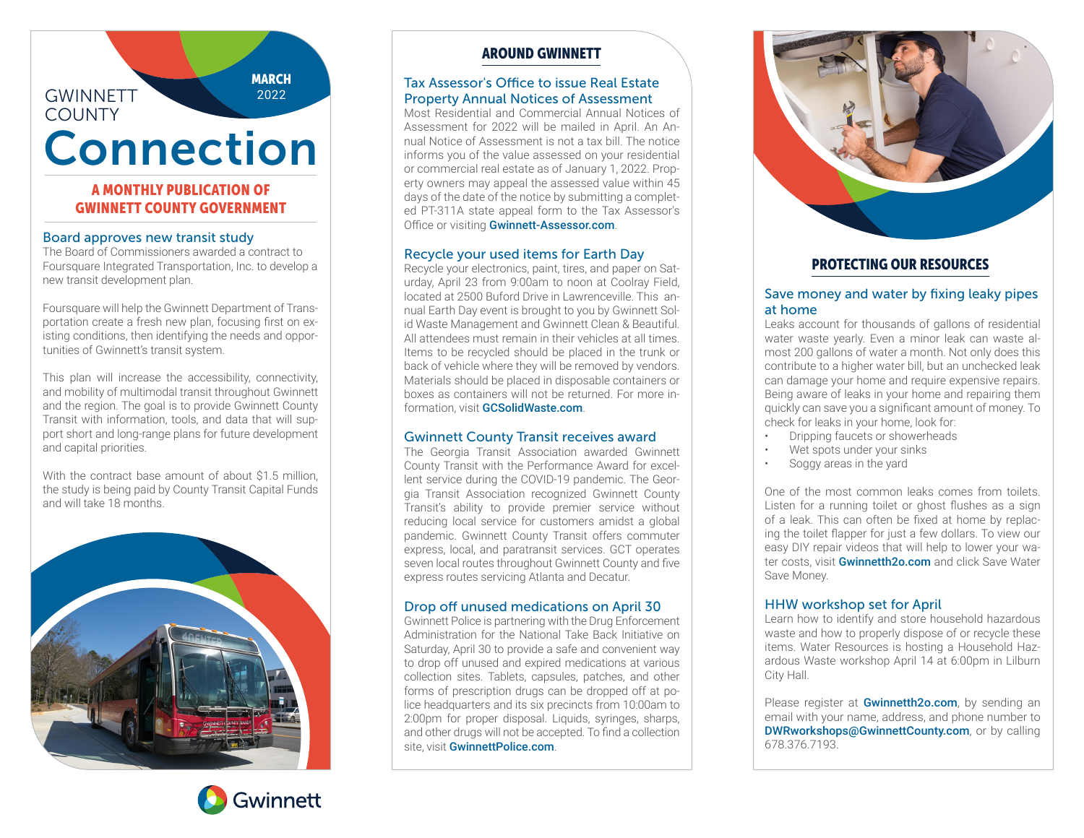## GWINNETT **COUNTY**

**MARCH** 2022

# Connection

## A MONTHLY PUBLICATION OF GWINNETT COUNTY GOVERNMENT

#### Board approves new transit study

The Board of Commissioners awarded a contract to Foursquare Integrated Transportation, Inc. to develop a new transit development plan.

Foursquare will help the Gwinnett Department of Transportation create a fresh new plan, focusing first on existing conditions, then identifying the needs and opportunities of Gwinnett's transit system.

This plan will increase the accessibility, connectivity, and mobility of multimodal transit throughout Gwinnett and the region. The goal is to provide Gwinnett County Transit with information, tools, and data that will support short and long-range plans for future development and capital priorities.

With the contract hase amount of about \$1.5 million the study is being paid by County Transit Capital Funds and will take 18 months.





# AROUND GWINNETT

#### Tax Assessor's Office to issue Real Estate Property Annual Notices of Assessment

Most Residential and Commercial Annual Notices of Assessment for 2022 will be mailed in April. An Annual Notice of Assessment is not a tax bill. The notice informs you of the value assessed on your residential or commercial real estate as of January 1, 2022. Property owners may appeal the assessed value within 45 days of the date of the notice by submitting a completed PT-311A state appeal form to the Tax Assessor's Office or visiting Gwinnett-Assessor.com.

## Recycle your used items for Earth Day

Recycle your electronics, paint, tires, and paper on Saturday, April 23 from 9:00am to noon at Coolray Field, located at 2500 Buford Drive in Lawrenceville. This annual Earth Day event is brought to you by Gwinnett Solid Waste Management and Gwinnett Clean & Beautiful. All attendees must remain in their vehicles at all times. Items to be recycled should be placed in the trunk or back of vehicle where they will be removed by vendors. Materials should be placed in disposable containers or boxes as containers will not be returned. For more information, visit GCSolidWaste.com.

#### Gwinnett County Transit receives award

The Georgia Transit Association awarded Gwinnett County Transit with the Performance Award for excellent service during the COVID-19 pandemic. The Georgia Transit Association recognized Gwinnett County Transit's ability to provide premier service without reducing local service for customers amidst a global pandemic. Gwinnett County Transit offers commuter express, local, and paratransit services. GCT operates seven local routes throughout Gwinnett County and five express routes servicing Atlanta and Decatur.

#### Drop off unused medications on April 30

Gwinnett Police is partnering with the Drug Enforcement Administration for the National Take Back Initiative on Saturday, April 30 to provide a safe and convenient way to drop off unused and expired medications at various collection sites. Tablets, capsules, patches, and other forms of prescription drugs can be dropped off at police headquarters and its six precincts from 10:00am to 2:00pm for proper disposal. Liquids, syringes, sharps, and other drugs will not be accepted. To find a collection site, visit GwinnettPolice.com.



# PROTECTING OUR RESOURCES

#### Save money and water by fixing leaky pipes at home

Leaks account for thousands of gallons of residential water waste yearly. Even a minor leak can waste almost 200 gallons of water a month. Not only does this contribute to a higher water bill, but an unchecked leak can damage your home and require expensive repairs. Being aware of leaks in your home and repairing them quickly can save you a significant amount of money. To check for leaks in your home, look for:

- Dripping faucets or showerheads
- Wet spots under your sinks
- Soggy areas in the yard

One of the most common leaks comes from toilets. Listen for a running toilet or ghost flushes as a sign of a leak. This can often be fixed at home by replacing the toilet flapper for just a few dollars. To view our easy DIY repair videos that will help to lower your water costs, visit Gwinnetth2o.com and click Save Water Save Money.

## HHW workshop set for April

Learn how to identify and store household hazardous waste and how to properly dispose of or recycle these items. Water Resources is hosting a Household Hazardous Waste workshop April 14 at 6:00pm in Lilburn City Hall.

Please register at **Gwinnetth2o.com**, by sending an email with your name, address, and phone number to DWRworkshops@GwinnettCounty.com, or by calling 678.376.7193.